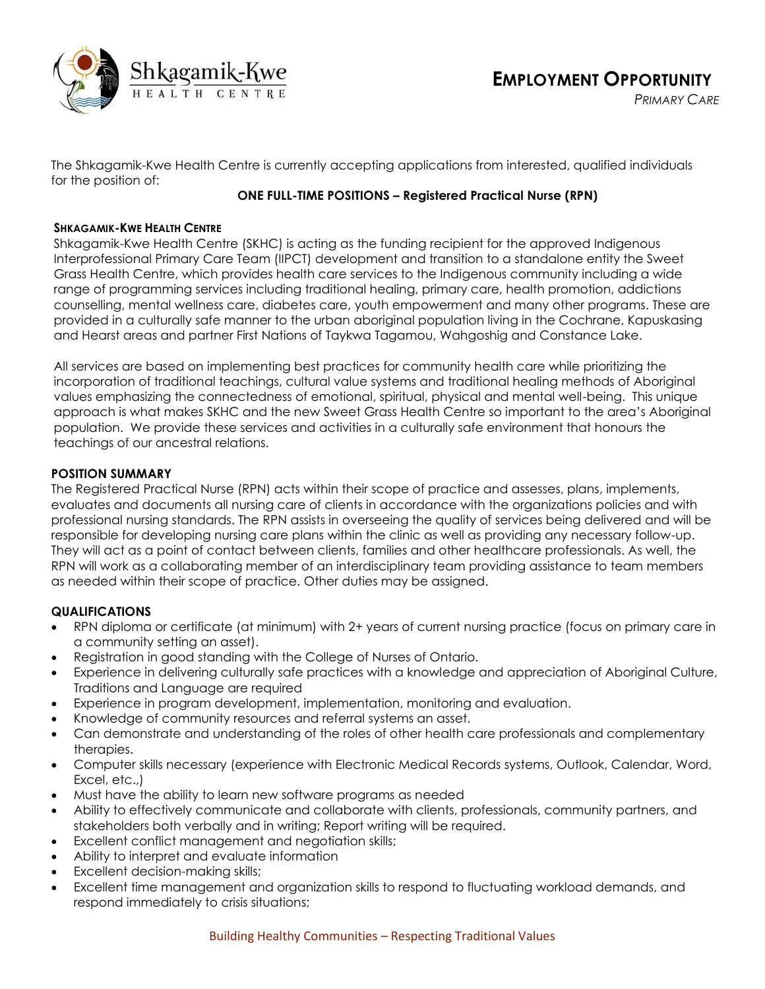

*PRIMARY CARE*

The Shkagamik-Kwe Health Centre is currently accepting applications from interested, qualified individuals for the position of:

# **ONE FULL-TIME POSITIONS – Registered Practical Nurse (RPN)**

### **SHKAGAMIK-KWE HEALTH CENTRE**

Shkagamik-Kwe Health Centre (SKHC) is acting as the funding recipient for the approved Indigenous Interprofessional Primary Care Team (IIPCT) development and transition to a standalone entity the Sweet Grass Health Centre, which provides health care services to the Indigenous community including a wide range of programming services including traditional healing, primary care, health promotion, addictions counselling, mental wellness care, diabetes care, youth empowerment and many other programs. These are provided in a culturally safe manner to the urban aboriginal population living in the Cochrane, Kapuskasing and Hearst areas and partner First Nations of Taykwa Tagamou, Wahgoshig and Constance Lake.

All services are based on implementing best practices for community health care while prioritizing the incorporation of traditional teachings, cultural value systems and traditional healing methods of Aboriginal values emphasizing the connectedness of emotional, spiritual, physical and mental well-being. This unique approach is what makes SKHC and the new Sweet Grass Health Centre so important to the area's Aboriginal population. We provide these services and activities in a culturally safe environment that honours the teachings of our ancestral relations.

## **POSITION SUMMARY**

The Registered Practical Nurse (RPN) acts within their scope of practice and assesses, plans, implements, evaluates and documents all nursing care of clients in accordance with the organizations policies and with professional nursing standards. The RPN assists in overseeing the quality of services being delivered and will be responsible for developing nursing care plans within the clinic as well as providing any necessary follow-up. They will act as a point of contact between clients, families and other healthcare professionals. As well, the RPN will work as a collaborating member of an interdisciplinary team providing assistance to team members as needed within their scope of practice. Other duties may be assigned.

## **QUALIFICATIONS**

- RPN diploma or certificate (at minimum) with 2+ years of current nursing practice (focus on primary care in a community setting an asset).
- Registration in good standing with the College of Nurses of Ontario.
- Experience in delivering culturally safe practices with a knowledge and appreciation of Aboriginal Culture, Traditions and Language are required
- Experience in program development, implementation, monitoring and evaluation.
- Knowledge of community resources and referral systems an asset.
- Can demonstrate and understanding of the roles of other health care professionals and complementary therapies.
- Computer skills necessary (experience with Electronic Medical Records systems, Outlook, Calendar, Word, Excel, etc.,)
- Must have the ability to learn new software programs as needed
- Ability to effectively communicate and collaborate with clients, professionals, community partners, and stakeholders both verbally and in writing; Report writing will be required.
- Excellent conflict management and negotiation skills;
- Ability to interpret and evaluate information
- Excellent decision-making skills;
- Excellent time management and organization skills to respond to fluctuating workload demands, and respond immediately to crisis situations;